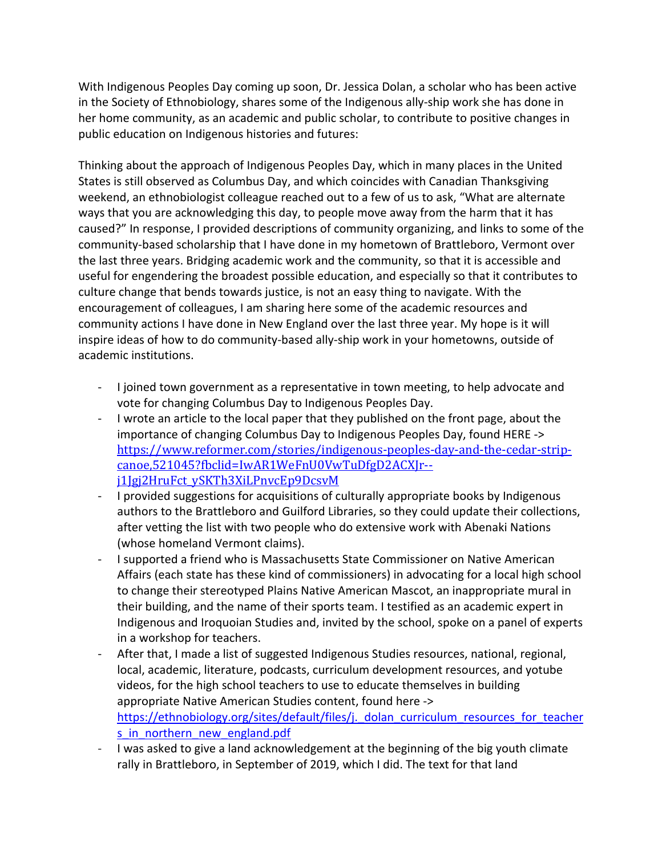With Indigenous Peoples Day coming up soon, Dr. Jessica Dolan, a scholar who has been active in the Society of Ethnobiology, shares some of the Indigenous ally-ship work she has done in her home community, as an academic and public scholar, to contribute to positive changes in public education on Indigenous histories and futures:

Thinking about the approach of Indigenous Peoples Day, which in many places in the United States is still observed as Columbus Day, and which coincides with Canadian Thanksgiving weekend, an ethnobiologist colleague reached out to a few of us to ask, "What are alternate ways that you are acknowledging this day, to people move away from the harm that it has caused?" In response, I provided descriptions of community organizing, and links to some of the community-based scholarship that I have done in my hometown of Brattleboro, Vermont over the last three years. Bridging academic work and the community, so that it is accessible and useful for engendering the broadest possible education, and especially so that it contributes to culture change that bends towards justice, is not an easy thing to navigate. With the encouragement of colleagues, I am sharing here some of the academic resources and community actions I have done in New England over the last three year. My hope is it will inspire ideas of how to do community-based ally-ship work in your hometowns, outside of academic institutions.

- I joined town government as a representative in town meeting, to help advocate and vote for changing Columbus Day to Indigenous Peoples Day.
- I wrote an article to the local paper that they published on the front page, about the importance of changing Columbus Day to Indigenous Peoples Day, found HERE -> https://www.reformer.com/stories/indigenous-peoples-day-and-the-cedar-stripcanoe,521045?fbclid=IwAR1WeFnU0VwTuDfgD2ACXJr- j1Jgj2HruFct\_ySKTh3XiLPnvcEp9DcsvM
- I provided suggestions for acquisitions of culturally appropriate books by Indigenous authors to the Brattleboro and Guilford Libraries, so they could update their collections, after vetting the list with two people who do extensive work with Abenaki Nations (whose homeland Vermont claims).
- I supported a friend who is Massachusetts State Commissioner on Native American Affairs (each state has these kind of commissioners) in advocating for a local high school to change their stereotyped Plains Native American Mascot, an inappropriate mural in their building, and the name of their sports team. I testified as an academic expert in Indigenous and Iroquoian Studies and, invited by the school, spoke on a panel of experts in a workshop for teachers.
- After that, I made a list of suggested Indigenous Studies resources, national, regional, local, academic, literature, podcasts, curriculum development resources, and yotube videos, for the high school teachers to use to educate themselves in building appropriate Native American Studies content, found here -> https://ethnobiology.org/sites/default/files/j. dolan\_curriculum\_resources\_for\_teacher s in northern new england.pdf
- I was asked to give a land acknowledgement at the beginning of the big youth climate rally in Brattleboro, in September of 2019, which I did. The text for that land